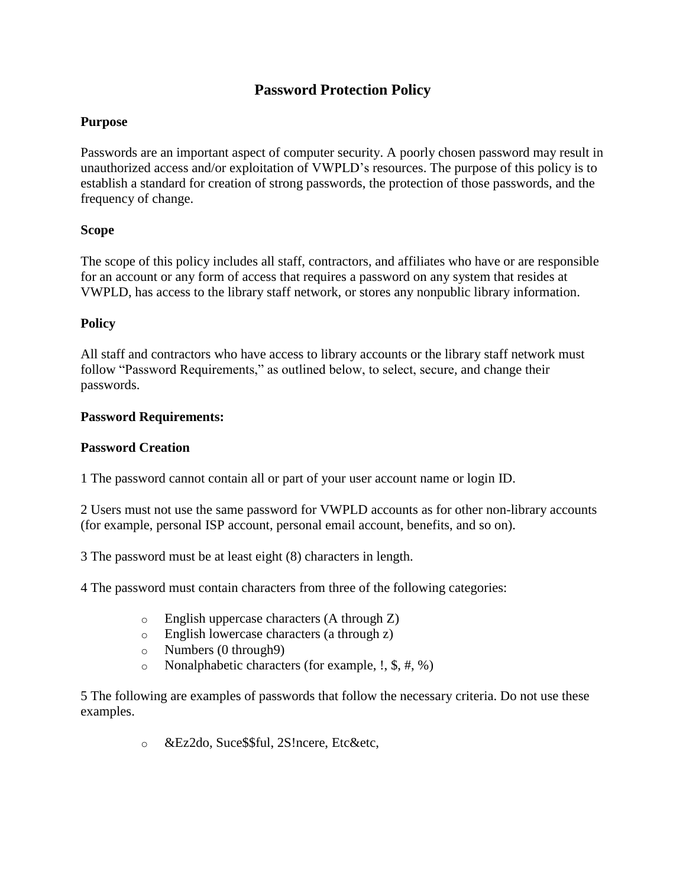# **Password Protection Policy**

## **Purpose**

Passwords are an important aspect of computer security. A poorly chosen password may result in unauthorized access and/or exploitation of VWPLD's resources. The purpose of this policy is to establish a standard for creation of strong passwords, the protection of those passwords, and the frequency of change.

## **Scope**

The scope of this policy includes all staff, contractors, and affiliates who have or are responsible for an account or any form of access that requires a password on any system that resides at VWPLD, has access to the library staff network, or stores any nonpublic library information.

## **Policy**

All staff and contractors who have access to library accounts or the library staff network must follow "Password Requirements," as outlined below, to select, secure, and change their passwords.

#### **Password Requirements:**

#### **Password Creation**

1 The password cannot contain all or part of your user account name or login ID.

2 Users must not use the same password for VWPLD accounts as for other non-library accounts (for example, personal ISP account, personal email account, benefits, and so on).

3 The password must be at least eight (8) characters in length.

4 The password must contain characters from three of the following categories:

- o English uppercase characters (A through Z)
- o English lowercase characters (a through z)
- o Numbers (0 through9)
- o Nonalphabetic characters (for example, !, \$, #, %)

5 The following are examples of passwords that follow the necessary criteria. Do not use these examples.

o &Ez2do, Suce\$\$ful, 2S!ncere, Etc&etc,